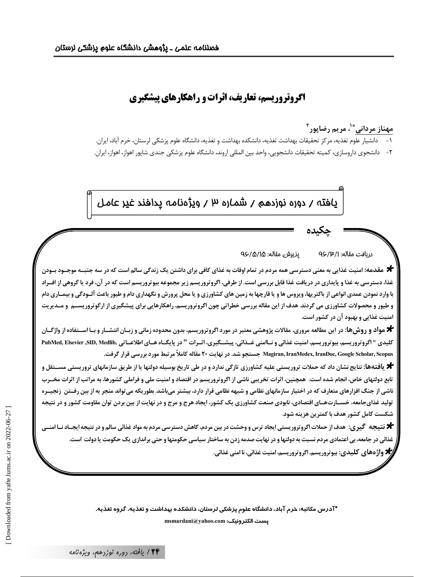# **اگروتروریسم، تعاریف، اثرات و راهکارهای پیشگیری**

مهناز مرداني <sup>\*'</sup>، مريم رضاپور<sup>۲</sup> ۱ – دانشیار علوم تغذیه، مرکز تحقیقات بهداشت تغذیه، دانشکده بهداشت و تغذیه، دانشگاه علوم پزشکی لرستان، خرم اباد، ایران. ٢- دانشجوى داروسازى، كميته تحقيقات دانشجويي، واحد بين المللي اروند، دانشگاه علوم پزشكي جندى شاپور اهواز، اهواز، ايران.

پافته / دوره نوزدهم / شماره ۳ / ویژهنامه پدافند غیر عامل |

لە: 4/A/0 y پذیرش مقالە: 46/A/0 دريافت مقا

**-**چکی

**\*** مقدمه: امنیت غذایی به معنی دسترسی همه مردم در تمام اوقات به غذای کافی برای داشتن یک زندگی سالم است که در سه جنبــه موجــود بــودن غذا، دسترسی به غذا و پایداری در دریافت غذا قابل بررسی است. از طرفی، اگروتروریسم زیر مجموعه بیوتروریسم است که در آن، فرد یا گروهی از افـراد با وارد نمودن عمدي انواعي از باكتريها، ويروس ها و يا قارچها به زمين هاي كشاورزي و يا محل پرورش و نگهداري دام و طيور باعث آلـودگي و بيمــاري دام و طیور و محصولات کشاورزی می گردند. هدف از این مقاله بررسی خطراتی چون اگروتروریسم، راهکارهایی برای پیشگیری از ارگوتروریســم و مــدیریت امنیت غذایی **و بهبود آن در کشور است.** 

**\*** مواد و روش&ا: در این مطالعه مروری، مقالات پژوهشی معتبر در مورد اگروتروریسم، بدون محدوده زمانی و زبـان انتشـار و بـا اســتفاده از واژگــان كليدي " اگروتروريسم، بيوتروريسم، امنيت غذائي و نــاامني غــذائي، پيشــگيري، اثــرات " در پايگــاه هــاي اطلاعــاتي ،RDMed, Elsevier ,SID, Medlib, كليدي  **.,3 \$ \* S1( RP 2 20 , - . 970 Magiran, IranMedex, IranDoc, Google Scholar, Scopus**

**\*** یافتهها: نتایج نشان داد که حملات تروریستی علیه کشاورزی تازگی ندارد و در طی تاریخ بوسیله دولتها یا از طریق سازمانهای تروریستی مســتقل و تابع دولتهای خاص، انجام شده است. همچنین، اثرات تخریبی ناشی از اگروتروریسم در اقتصاد و امنیت ملی و فراملی کشورها، به مراتب از اثرات مخــرب ناشی از جنگ افزارهای متعارف که در اختیار سازمانهای نظامی و شبهه نظامی قرار دارد، بیشتر می؛اشد. بطوریکه می تواند منجر به از بین رفــتن زنجیــره توليد غذايجامعه، خســارت هــاي اقتصادي، نابودي صنعت كشاورزي يک کشور، ايجاد هرج و مرج و در نهايت از بين بردن توان مقاومت کشور و در نتيجه شکست کامل کشور هدف با کمترین هزینه شود.

**\* ن**تیجه گیری: هدف از حملات اگروتروریستی ایجاد ترس و وحشت در بین مردم، کاهش دسترسی مردم به مواد غذائی سالم و در نتیجه ایجـاد نـا امنــی غذائی در جامعه، بی اعتمادی مردم نسبت به دولتها و در نهایت صدمه زدن به ساختار سیاسی حکومتها و حتی براندازی یک حکومت یا دولت است. **/\*** واژ ه های کلیدی: بیوتروریسم، اگروتروریسم، امنیت غذائی، نا امنی غذائی.

> \*آدرس مکاتبه: خرم آباد، دانشگاه علوم پزشکی لرستان، دانشکده بهداشت و تغذیه، گروه تغذیه.  $m$ smardani@yahoo.com **:يست الكترونيك**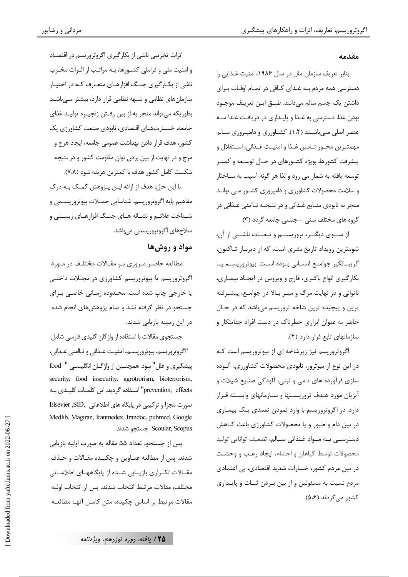#### مقدمه

بنابر تعريف سازمان ملل در سال ۱۹۸۶، امنيت غــذايي را دسترسی همه مردم بـه غـذای کـافی در تمـام اوقـات بـرای داشتن يک جسم سالم مي دانند. طبــق ايــن تعريــف موجــود بودن غذا، دسترسی به غـذا و پایـداری در دریافـت غـذا سـه عنصر اصلی مـیباشـند (۱،۲). کشـاورزی و دامپـروری سـالم مهمتــرين محــور تــامين غــذا و امنيــت غــذائي، اســتقلال و پیشرفت کشورها، بویژه کشـورهای در حـال توسـعه و کمتـر توسعه يافته به شمار مي رود و لذا هر گونه آسيب به ســاختار و سلامت محصولات کشاورزی و دامپروری کشـور مـی توانـد منجر به نابودي منــابع غــذائي و در نتيجــه نــاامني غــذائي در گروه های مختلف سنی -جنسی جامعه گردد (۳).

از سـوى ديگــر، تروريســـم و تبعــات ناشـــى از آن، شومترین رویداد تاریخ بشری است، که از دیربـاز تـاکنون، گريبــانگير جوامــع انســاني بــوده اســت. بيوتروريســم يــا بکار گیری انواع باکتری، قارچ و ویروس در ایجـاد بیمـاری، ناتوانی و در نهایت مرگ و میـر بـالا در جوامـع، پیشـرفته ترین و پیچیده ترین شاخه تروریسم میباشد که در حـال حاضر به عنوان ابزاری خطرناک در دست افراد جنایتکار و سازمانهای تابع قرار دارد (۴).

اگروتروریسم نیز زیرشاخه ای از بیوتروریسم است کـه در این نوع از بیوترور، نابودی محصولات کشاورزی، آلـوده سازی فرآورده های دامی و لبنی، آلودگی صنایع شیلات و آبزیان مورد هـدف تروریسـتها و سـازمانهای وابسـته قـرار دارد. در اگروتروریسم با وارد نمودن تعمدی یک بیمـاری در بین دام و طیور و یا محصولات کشاورزی باعث کـاهش دسترســی بــه مــواد غــذائی ســالم، تضعیف توانایی تولید محصولات توسط گیاهان و احشام، ایجاد رعب و وحشت در بین مردم کشور، خسارات شدید اقتصادی، بی اعتمادی مردم نسبت به مسئولین و از بین بـردن ثبـات و پایـداری کشور مے گردند (۵،۶).

اثرات تخریبی ناشی از بکار گیری اگروتروریسم در اقتصـاد و امنیت ملی و فراملی کشـورها، بـه مراتـب از اثـرات مخـرب ناشی از بکـارگیری جنـگ افزارهـای متعـارف کـه در اختيـار سازمانهای نظامی و شبهه نظامی قرار دارد، بیشتر مـیباشـد بطوریکه میتواند منجر به از بین رفـتن زنجیـره تولیـد غذای جامعه، خســارتهــاي اقتصادي، نابودي صنعت كشاورزي يک كشور، هدف قرار دادن بهداشت عمومي جامعه، ايجاد هرج و مرج و در نهایت از بین بردن توان مقاومت کشور و در نتیجه شكست كامل كشور هدف با كمترين هزينه شود (٧،٨).

با این حال، هدف از ارائه ایـن پـژوهش کمـک بـه درک مفاهیم پایه اگروتروریسم، شناسایی حمـلات بیوتروریسـمی و شـناخت علائــم و نشــانه هــاي جنــگ افزارهــاي زيســتي و سلاحهای اگروتروریسمی می باشد.

## مواد و روش ها

مطالعه حاضر مـروري بـر مقــالات مختلــف در مــورد اگروتروریسم یا بیوتروریسم کشاورزی در مجـلات داخلـی یا خارجی چاپ شده است. محـدوده زمـانی خاصـی بـرای جستجو در نظر گرفته نشد و تمام پژوهش های انجام شده در این زمینه بازیابی شدند.

جستجوی مقالات با استفاده از واژگان کلیدی فارسی شامل "اگروتروريسم، بيوتروريســم، امنيـت غــذائي و نــاامني غــذائي، پیشگیری و علل" بود. همچنـین از واژگـان انگلیســ ، " food security, food insecurity, agrotrorism, bioterrorism, prevention, effects" استفاده گردید. این کلمــات کلیــدی بــه صورت مجزا و ترکیبی در پایگاه های اطلاعاتی , Elsevier ,SID Medlib, Magiran, Iranmedex, Irandoc, pubmed, Google Scoular, Scopus جستجو شدند.

يس از جستجو، تعداد ۵۵ مقاله به صورت اوليه بازيابي شدند. پس از مطالعه عنــاوین و چکیــده مقــالات و حــذف مقـالات تكـراري بازيــابي شــده از پايگاههــاي اطلاعــاتي مختلف، مقالات مرتبط انتخاب شدند. يس از انتخاب اوليه مقالات مرتبط بر اساس چکیده، متن کامـل آنهـا مطالعـه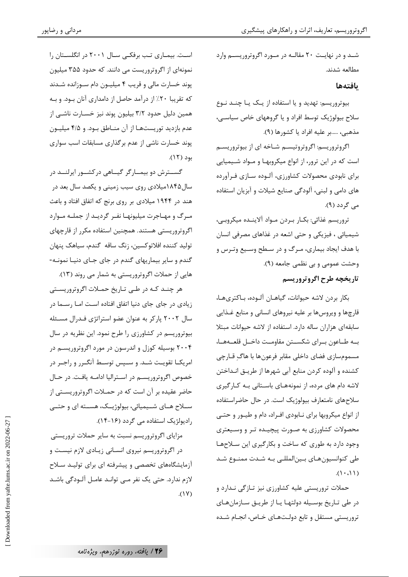شـد و در نهایـت ۲۰ مقالـه در مـورد اگروتروریسـم وارد مطالعه شدند.

### بافتهها

بيوتروريسم: تهديد و يا استفاده از يـک يـا چنـد نـوع سلاح بیولوژیک توسط افراد و یا گروههای خاص سیاسے، مذهبي، .....بر عليه افراد يا كشورها (٩).

اگروتروریسم: اگروتروتیسـم شـاخه ای از بیوتروریسـم است که در این ترور، از انواع میکروبهـا و مــواد شــیمیایی برای نابودی محصولات کشاورزی، آلـوده سـازی فـرآورده های دامی و لبنی، آلودگی صنایع شیلات و آبزیان استفاده می گردد (۹).

تروريسم غذائي: بكــار بــردن مــواد آلاينــده ميكروبــي، شیمیائی ، فیزیکی و حتی اشعه در غذاهای مصرفی انسان با هدف ایجاد بیماری، مـرگ و در سـطح وسـیع وتـرس و وحشت عمومي وبي نظمي جامعه (٩). تاريخچه طرح اگروتروريسم

بكار بردن لاشه حيوانات، گياهــان آلــوده، بــاكترىهــا، قارچها و ویروس ها بر علیه نیروهای انسانی و منابع غـذایی سابقهای هزاران ساله دارد. استفاده از لاشه حیوانات مبتلا بـه طــاعون بــراي شكســتن مقاومــت داخــل قلعــههــا، مسمومسازي فضاي داخلي مقابر فرعونها با هاگ قـارچي کشنده و آلوده کردن منابع آبی شهرها از طریـق انـداختن لاشه دام های مرده، از نمونههـای باسـتانی بـه کـارگیری سلاحهای نامتعارف بیولوژیک است. در حال حاضراستفاده از انواع میکروبها برای نـابودی افـراد، دام و طیــور و حتــی محصولات کشاورزی به صـورت پیچیـده تـر و وسـیعتری وجود دارد به طوري كه ساخت و بكارگيري اين سلاحها طی کنوانسیون هـای بـین|لمللـی بـه شـدت ممنـوع شـد  $(1 \cdot \cdot \cdot)$ 

حملات تروریستی علیه کشاورزی نیز تـازگی نـدارد و در طی تـاریخ بوسـیله دولتهـا یـا از طریـق سـازمانهـای تروریستی مستقل و تابع دولـتهـای خـاص، انجـام شـده

است. بیماری تب برفکی سال ۲۰۰۱ در انگلستان را نمونهای از اگروتروریست می دانند. که حدود ۳۵۵ میلیون پوند خسارت مالی و قریب ۴ میلیون دام سوزانده شدند که تقریبا ۲۰٪ از درآمد حاصل از دامداری آنان بـود. و بـه همین دلیل حدود ۳/۲ بیلیون پوند نیز خسـارت ناشـی از عدم بازدید توریستها از آن منـاطق بـود. و ۴/۵ میلیـون پوند خسارت ناشی از عدم برگذاری مسابقات اسب سواری بود (١٢).

گســترش دو بیمــارگر گیــاهی درکشــور ایرلنــد در سال ۱۸۴۵میلادی روی سیب زمینی و یکصد سال بعد در هند در ۱۹۴۴ میلادی بر روی برنج که اتفاق افتاد و باعث مـرگ و مهـاجرت میلیونهـا نفـر گردیـد از جملـه مـوارد اگروتروریستی هستند. همچنین استفاده مکرر از قارچهای توليد كننده افلاتوكسين، زنگ ساقه گندم، سياهک ينهان گندم و سایر بیماریهای گندم در جای جـای دنیـا نمونـه-هایی از حملات اگروتروریستی به شمار می روند (۱۳).

هر چنـد کـه در طـی تـاریخ حمـلات اگروتروریسـتی زیادی در جای جای دنیا اتفاق افتاده است امـا رسـما در سال ۲۰۰۲ پارکر به عنوان عضو استراتژی فـدرال مسـئله بیوتروریسم در کشاورزی را طرح نمود. این نظریه در سال ۲۰۰۴ بوسیله کوزل و اندرسون در مورد اگروتروریسـم در امریکــا تقویــت شــد. و ســپس توســط آنگــرر و راجــر در خصوص اگروتروریسـم در اسـترالیا ادامـه یافـت. در حـال حاضر عقیده بر آن است که در حمـلات اگروتروریســتی از ســلاح هــاي شــيميائي، بيولوژيــک، هســته اي و حتــي رادیولژیک استفاده می گردد (۱۶-۱۴).

مزایای اگروتروریسم نسبت به سایر حملات تروریستی در اگروتروریسم نیروی انسانی زیـادی لازم نیسـت و آزمایشگاههای تخصصی و پیشرفته ای برای تولیـد سـلاح لازم ندارد. حتى يک نفر مـى توانـد عامـل آلـودگى باشـد  $(1V)$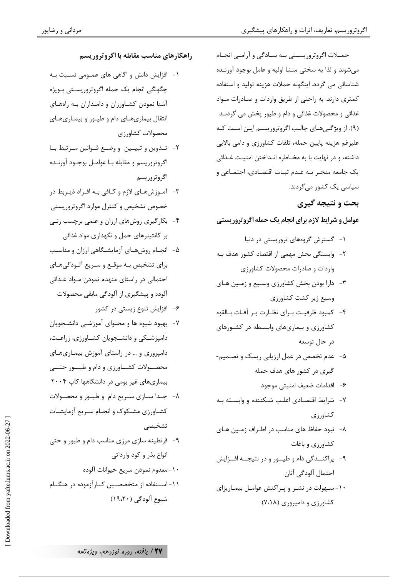مرداني و رضاپور

حمــلات اگروتروريســتي بــه ســادگي و آرامــي انجــام میشوند و لذا به سختی منشا اولیه و عامل بوجود آورنـده شناسائی می گردد. اینگونه حملات هزینه تولید و استفاده کمتری دارند. به راحتی از طریق واردات و صـادرات مـواد غذائی و محصولات غذائی و دام و طیور پخش می گردنـد (۹). از ویژگیهای جالب اگروتروریسم این است که علیرغم هزینه پایین حمله، تلفات کشاورزی و دامی بالایی داشته، و در نهایت با به مخـاطره انـداختن امنیـت غـذائی یک جامعه منجـر بـه عـدم ثبـات اقتصـادی، اجتمـاعی و سیاسی یک کشور مے گردند.

بحث و نتیجه گیری

عوامل و شرایط لازم برای انجام یک حمله اگروتروریستی

- ۱- گسترش گروههای تروریستی در دنیا
- ٢-۔وابستگی بخش مهمی از اقتصاد کشور هدف بـه واردات و صادرات محصولات کشاورزی
- ٣- دارا بودن بخش كشاورزي وسيع و زمين هـاي وسیع زیر کشت کشاورزی
- ۴- كمبود ظرفيت بـراي نظـارت بـر آفـات بـالقوه کشاورزی و بیماریهای وابسطه در کشورهای در حال توسعه
- ۵- عدم تخصص در عمل ارزیابی ریسک و تصـمیم-گیری در کشور های هدف حمله
	- ۶– اقدامات ضعيف امنيتي موجود
- ۷- شرایط اقتصادی اغلب شکننده و وابسته بـه کشاورزی
- ۸- نبود حفاظ های مناسب در اطراف زمین هـای کشاورزی و باغات
- ۹- پراکنــدگی دام و طیــور و در نتیجــه افــزایش احتمال آلودگی آنان
- ۱۰-سهولت در نشـر و پـراکنش عوامـل بیمـاریزای کشاورزی و دامیروری (۷،۱۸).
- راهكارهاي مناسب مقابله با اگروتروريسم
- ١- افزایش دانش و اگاهی های عمــومی نســبت بــه چگونگی انجام یک حمله اگروتروریستی بـویژه آشنا نمودن کشاورزان و دامداران بـه راههـای انتقال بیماریهـای دام و طیـور و بیمـاریهـای محصولات كشاورزى
- ٢- تـدوين وتبيـين ووضـع قـوانين مـرتبط بـا اگروتروريسم و مقابله بـا عوامـل بوجـود آورنـده اگروتروریسم
- ۳- آمـوزشهـای لازم و کـافی بـه افـراد ذيـربط در خصوص تشخیص و کنترل موارد اگروتروریستی
- ۴- بکارگیری روشهای ارزان و علمی برچسب زنبی بر کانتینرهای حمل و نگهداری مواد غذائی
- ۵- انجـام روشهـاي أزمايشـگاهي ارزان و مناسـب برای تشخیص بـه موقـع و سـریع آلـودگیهـای احتمالی در راستای منهدم نمودن مـواد غـذائی آلوده و پیشگیری از آلودگی مابقی محصولات
	- ۶- افزایش تنوع زیستی در کشور
- ۷-۔ بهبود شیوه ها و محتوای آموزشــی دانشــجویان دامپزشــکی و دانشــجویان کشــاورزی، زراعـت، دامپروری و … در راستای آموزش بیمـاریهـای محصـــولات کشــــاورزي و دام و طيــــور حتــــى بیماریهای غیر بومی در دانشگاهها کاپ ۲۰۰۴
- ٨- جـدا سـازي سـريع دام و طيـور و محصـولات کشـاورزی مشـکوک و انجـام سـريع آزمايشـات تشخيصى
- ۹- قرنطینه سازی مرزی مناسب دام و طیور و حتی انواع بذر و کود وارداتی ١٠- معدوم نمودن سريع حيوانات آلوده ۱۱-اســتفاده از مت*خصصــ*ین کــارآزموده در هنگــام شيوع آلودگي (١٩،٢٠)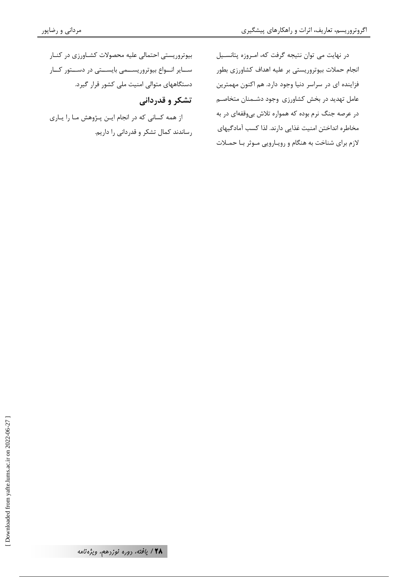در نهایت می توان نتیجه گرفت که، امروزه پتانسیل انجام حملات بیوتروریستی بر علیه اهداف کشاورزی بطور فزاینده ای در سراسر دنیا وجود دارد. هم اکنون مهمترین عامل تهدید در بخش کشاورزی وجود دشـمنان متخاصـم در عرصه جنگ نرم بوده که همواره تلاش بی وقفهای در به مخاطره انداختن امنيت غذايي دارند. لذا كسب آمادگيهاي لازم برای شناخت به هنگام و رویارویی موثر با حملات

بیوتروریستی احتمالی علیه محصولات کشاورزی در کنار سایر انواع بیوتروریستمی بایستی در دستور کار دستگاههای متوالی امنیت ملی کشور قرار گیرد.

تشکر و قدردانی

از همه کسانی که در انجام ایـن پـژوهش مـا را یـاری رساندند کمال تشکر و قدردانی را داریم.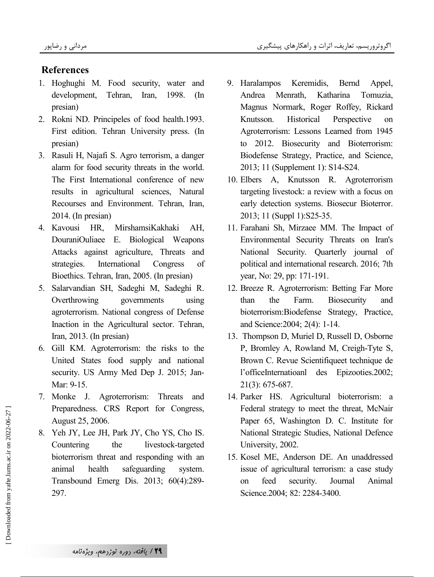# **References**

- 1. Hoghughi M. Food security, water and development, Tehran, Iran, 1998. (In presian)
- 2. Rokni ND. Principeles of food health.1993. First edition. Tehran University press. (In presian)
- 3. Rasuli H, Najafi S. Agro terrorism, a danger alarm for food security threats in the world. The First International conference of new results in agricultural sciences, Natural Recourses and Environment. Tehran, Iran, 2014. (In presian)
- 4. Kavousi HR, MirshamsiKakhaki AH, DouraniOuliaee E. Biological Weapons Attacks against agriculture, Threats and strategies. International Congress of Bioethics. Tehran, Iran, 2005. (In presian)
- 5. Salarvandian SH, Sadeghi M, Sadeghi R. Overthrowing governments using agroterrorism. National congress of Defense Inaction in the Agricultural sector. Tehran, Iran, 2013. (In presian)
- 6. Gill KM. Agroterrorism: the risks to the United States food supply and national security. US Army Med Dep J. 2015; Jan-Mar: 9-15.
- 7. Monke J. Agroterrorism: Threats and Preparedness. CRS Report for Congress, August 25, 2006.
- 8. Yeh JY, Lee JH, Park JY, Cho YS, Cho IS. Countering the livestock-targeted bioterrorism threat and responding with an animal health safeguarding system. Transbound Emerg Dis. 2013; 60(4):289- 297.
- 9. Haralampos Keremidis, Bernd Appel, Andrea Menrath, Katharina Tomuzia, Magnus Normark, Roger Roffey, Rickard Knutsson. Historical Perspective on Agroterrorism: Lessons Learned from 1945 to 2012. Biosecurity and Bioterrorism: Biodefense Strategy, Practice, and Science, 2013; 11 (Supplement 1): S14-S24.
- 10. Elbers A, Knutsson R. Agroterrorism targeting livestock: a review with a focus on early detection systems. Biosecur Bioterror. 2013; 11 (Suppl 1):S25-35.
- 11. Farahani Sh, Mirzaee MM. The Impact of Environmental Security Threats on Iran's National Security. Quarterly journal of political and international research. 2016; 7th year, No: 29, pp: 171-191.
- 12. Breeze R. Agroterrorism: Betting Far More than the Farm. Biosecurity and bioterrorism:Biodefense Strategy, Practice, and Science:2004; 2(4): 1-14.
- 13. Thompson D, Muriel D, Russell D, Osborne P, Bromley A, Rowland M, Creigh-Tyte S, Brown C. Revue Scientifiqueet technique de l'officeInternatioanl des Epizooties.2002; 21(3): 675-687.
- 14. Parker HS. Agricultural bioterrorism: a Federal strategy to meet the threat, McNair Paper 65, Washington D. C. Institute for National Strategic Studies, National Defence University, 2002.
- 15. Kosel ME, Anderson DE. An unaddressed issue of agricultural terrorism: a case study on feed security. Journal Animal Science.2004; 82: 2284-3400.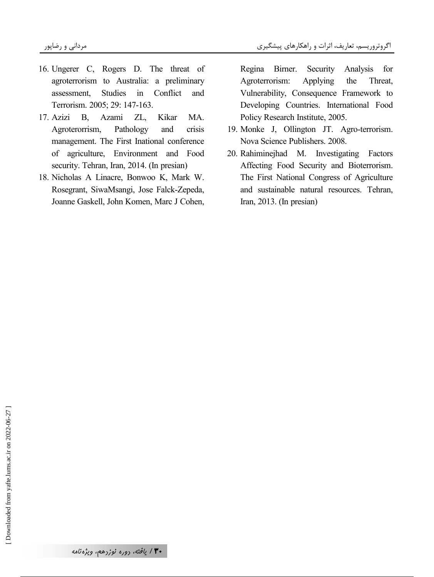- 16. Ungerer C, Rogers D. The threat of agroterrorism to Australia: a preliminary assessment, Studies in Conflict and Terrorism. 2005; 29: 147-163.
- 17. Azizi B, Azami ZL, Kikar MA. Agroterorrism, Pathology and crisis management. The First Inational conference of agriculture, Environment and Food security. Tehran, Iran, 2014. (In presian)
- 18. Nicholas A Linacre, Bonwoo K, Mark W. Rosegrant, SiwaMsangi, Jose Falck-Zepeda, Joanne Gaskell, John Komen, Marc J Cohen,

Regina Birner. Security Analysis for Agroterrorism: Applying the Threat, Vulnerability, Consequence Framework to Developing Countries. International Food Policy Research Institute, 2005.

- 19. Monke J, Ollington JT. Agro-terrorism. Nova Science Publishers. 2008.
- 20. Rahiminejhad M. Investigating Factors Affecting Food Security and Bioterrorism. The First National Congress of Agriculture and sustainable natural resources. Tehran, Iran, 2013. (In presian)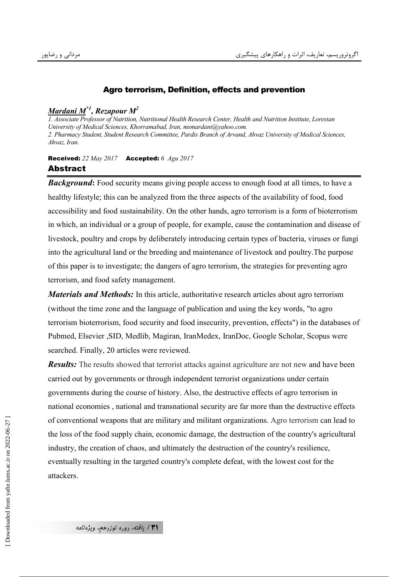### Agro terrorism, Definition, effects and prevention

## *Mardani M\*1, Rezapour M<sup>2</sup>*

*1. Associate Professor of Nutrition, Nutritional Health Research Center, Health and Nutrition Institute, Lorestan University of Medical Sciences, Khorramabad, Iran, msmardani@yahoo.com. 2. Pharmacy Student, Student Research Committee, Pardis Branch of Arvand, Ahvaz University of Medical Sciences, Ahvaz, Iran.* 

#### Received: *22 May 2017* Accepted: *6 Agu 2017*  Abstract

*Background*: Food security means giving people access to enough food at all times, to have a healthy lifestyle; this can be analyzed from the three aspects of the availability of food, food accessibility and food sustainability. On the other hands, agro terrorism is a form of bioterrorism in which, an individual or a group of people, for example, cause the contamination and disease of livestock, poultry and crops by deliberately introducing certain types of bacteria, viruses or fungi into the agricultural land or the breeding and maintenance of livestock and poultry.The purpose of this paper is to investigate; the dangers of agro terrorism, the strategies for preventing agro terrorism, and food safety management.

*Materials and Methods:* In this article, authoritative research articles about agro terrorism (without the time zone and the language of publication and using the key words, "to agro terrorism bioterrorism, food security and food insecurity, prevention, effects") in the databases of Pubmed, Elsevier ,SID, Medlib, Magiran, IranMedex, IranDoc, Google Scholar, Scopus were searched. Finally, 20 articles were reviewed.

*Results:* The results showed that terrorist attacks against agriculture are not new and have been carried out by governments or through independent terrorist organizations under certain governments during the course of history. Also, the destructive effects of agro terrorism in national economies , national and transnational security are far more than the destructive effects of conventional weapons that are military and militant organizations. Agro terrorism can lead to the loss of the food supply chain, economic damage, the destruction of the country's agricultural industry, the creation of chaos, and ultimately the destruction of the country's resilience, eventually resulting in the targeted country's complete defeat, with the lowest cost for the attackers.